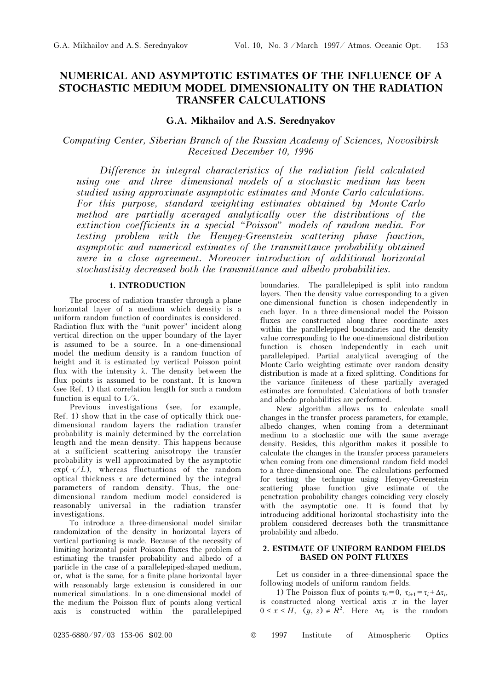# NUMERICAL AND ASYMPTOTIC ESTIMATES OF THE INFLUENCE OF A STOCHASTIC MEDIUM MODEL DIMENSIONALITY ON THE RADIATION TRANSFER CALCULATIONS

## G.A. Mikhailov and A.S. Serednyakov

# Computing Center, Siberian Branch of the Russian Academy of Sciences, Novosibirsk Received December 10, 1996

Difference in integral characteristics of the radiation field calculated using one- and three- dimensional models of a stochastic medium has been studied using approximate asymptotic estimates and Monte-Carlo calculations. For this purpose, standard weighting estimates obtained by Monte-Carlo method are partially averaged analytically over the distributions of the extinction coefficients in a special "Poisson" models of random media. For testing problem with the Henyey-Greenstein scattering phase function, asymptotic and numerical estimates of the transmittance probability obtained were in a close agreement. Moreover introduction of additional horizontal stochastisity decreased both the transmittance and albedo probabilities.

## 1. INTRODUCTION

The process of radiation transfer through a plane horizontal layer of a medium which density is a uniform random function of coordinates is considered. Radiation flux with the "unit power" incident along vertical direction on the upper boundary of the layer is assumed to be a source. In a one-dimensional model the medium density is a random function of height and it is estimated by vertical Poisson point flux with the intensity  $\lambda$ . The density between the flux points is assumed to be constant. It is known (see Ref. 1) that correlation length for such a random function is equal to  $1/\lambda$ .

Previous investigations (see, for example, Ref. 1) show that in the case of optically thick onedimensional random layers the radiation transfer probability is mainly determined by the correlation length and the mean density. This happens because at a sufficient scattering anisotropy the transfer probability is well approximated by the asymptotic  $\exp(-\tau/L)$ , whereas fluctuations of the random optical thickness  $\tau$  are determined by the integral parameters of random density. Thus, the onedimensional random medium model considered is reasonably universal in the radiation transfer investigations.

To introduce a three-dimensional model similar randomization of the density in horizontal layers of vertical partioning is made. Because of the necessity of limiting horizontal point Poisson fluxes the problem of estimating the transfer probability and albedo of a particle in the case of a parallelepiped-shaped medium, or, what is the same, for a finite plane horizontal layer with reasonably large extension is considered in our numerical simulations. In a one-dimensional model of the medium the Poisson flux of points along vertical axis is constructed within the parallelepiped boundaries. The parallelepiped is split into random layers. Then the density value corresponding to a given one-dimensional function is chosen independently in each layer. In a three-dimensional model the Poisson fluxes are constructed along three coordinate axes within the parallelepiped boundaries and the density value corresponding to the one-dimensional distribution function is chosen independently in each unit parallelepiped. Partial analytical averaging of the Monte-Carlo weighting estimate over random density distribution is made at a fixed splitting. Conditions for the variance finiteness of these partially averaged estimates are formulated. Calculations of both transfer and albedo probabilities are performed.

New algorithm allows us to calculate small changes in the transfer process parameters, for example, albedo changes, when coming from a determinant medium to a stochastic one with the same average density. Besides, this algorithm makes it possible to calculate the changes in the transfer process parameters when coming from one-dimensional random field model to a three-dimensional one. The calculations performed for testing the technique using Henyey-Greenstein scattering phase function give estimate of the penetration probability changes coinciding very closely with the asymptotic one. It is found that by introducing additional horizontal stochastisity into the problem considered decreases both the transmittance probability and albedo.

#### 2. ESTIMATE OF UNIFORM RANDOM FIELDS BASED ON POINT FLUXES

Let us consider in a three-dimensional space the following models of uniform random fields.

1) The Poisson flux of points  $\tau_0 = 0$ ,  $\tau_{i+1} = \tau_i + \Delta \tau_i$ , is constructed along vertical axis  $x$  in the layer  $0 \leq x \leq H$ ,  $(y, z) \in \mathbb{R}^2$ . Here  $\Delta \tau_i$  is the random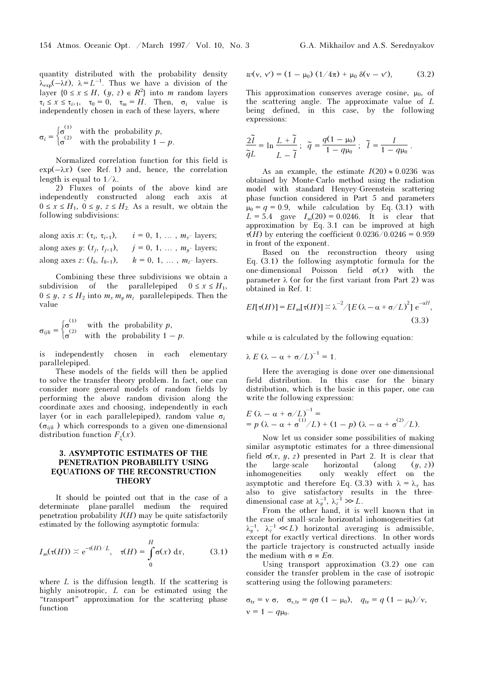quantity distributed with the probability density  $\lambda_{\exp}(-\lambda t)$ ,  $\lambda = L^{-1}$ . Thus we have a division of the layer  $\{0 \le x \le H, (y, z) \in R^2\}$  into m random layers  $\tau_i \leq x \leq \tau_{i+1}, \quad \tau_0 = 0, \quad \tau_m = H.$  Then,  $\sigma_i$  value is independently chosen in each of these layers, where

$$
\sigma_i = \begin{cases} \sigma^{(1)} & \text{with the probability } p, \\ \sigma^{(2)} & \text{with the probability } 1 - p. \end{cases}
$$

Normalized correlation function for this field is  $\exp(-\lambda x)$  (see Ref. 1) and, hence, the correlation length is equal to  $1/\lambda$ .

2) Fluxes of points of the above kind are independently constructed along each axis at  $0 \leq x \leq H_1$ ,  $0 \leq y$ ,  $z \leq H_2$ . As a result, we obtain the following subdivisions:

along axis *x*: 
$$
(\tau_i, \tau_{i+1}),
$$
  $i = 0, 1, ..., m_x$  layers;  
along axes *y*:  $(t_j, t_{j+1}),$   $j = 0, 1, ..., m_y$  layers;  
along axes *z*:  $(l_k, l_{k+1}),$   $k = 0, 1, ..., m_z$  layers.

Combining these three subdivisions we obtain a subdivision of the parallelepiped  $0 \le x \le H_1$ ,  $0 \leq y, z \leq H_2$  into  $m_x m_y m_z$  parallelepipeds. Then the value

 $\sigma_{ijk} = \begin{cases} \sigma^{(1)} & \text{with the probability } p, \\ \sigma^{(2)} & \text{with the probability } 1 - \sigma^{(1)} \end{cases}$  $\sigma^{(2)}$  with the probability  $1-p$ .

is independently chosen in each elementary parallelepiped.

These models of the fields will then be applied to solve the transfer theory problem. In fact, one can consider more general models of random fields by performing the above random division along the coordinate axes and choosing, independently in each layer (or in each parallelepiped), random value  $\sigma_i$  $(\sigma_{ijk})$  which corresponds to a given one-dimensional distribution function  $F_{\xi}(x)$ .

### 3. ASYMPTOTIC ESTIMATES OF THE PENETRATION PROBABILITY USING EQUATIONS OF THE RECONSTRUCTION **THEORY**

It should be pointed out that in the case of a determinate plane-parallel medium the required penetration probability  $I(H)$  may be quite satisfactorily estimated by the following asymptotic formula:

$$
I_{\text{as}}(\tau(H)) \stackrel{\sim}{\sim} \mathrm{e}^{-\tau(H)/L}, \quad \tau(H) = \int_{0}^{H} \sigma(x) \, \mathrm{d}x, \quad (3.1)
$$

where  $L$  is the diffusion length. If the scattering is highly anisotropic, L can be estimated using the "transport" approximation for the scattering phase function

$$
w(v, v') = (1 - \mu_0) (1/4\pi) + \mu_0 \delta(v - v'), \qquad (3.2)
$$

This approximation conserves average cosine,  $\mu_0$ , of the scattering angle. The approximate value of L being defined, in this case, by the following expressions:

$$
\frac{2\tilde{l}}{\tilde{q}L} = \ln \frac{L + \tilde{l}}{L - \tilde{l}}; \quad \tilde{q} = \frac{q(1 - \mu_0)}{1 - q\mu_0}; \quad \tilde{l} = \frac{l}{1 - q\mu_0}.
$$

As an example, the estimate  $I(20) \approx 0.0236$  was obtained by Monte-Carlo method using the radiation model with standard Henyey-Greenstein scattering phase function considered in Part 5 and parameters  $\mu_0 = q = 0.9$ , while calculation by Eq. (3.1) with  $L = 5.4$  gave  $I_{as}(20) = 0.0246$ . It is clear that approximation by Eq. 3.1 can be improved at high  $\tau(H)$  by entering the coefficient 0.0236/0.0246 = 0.959 in front of the exponent.

Based on the reconstruction theory using Eq. (3.1) the following asymptotic formula for the one-dimensional Poisson field  $\sigma(x)$  with the parameter  $\lambda$  (or for the first variant from Part 2) was obtained in Ref. 1:

$$
EI[\tau(H)] = EI_{\text{as}}[\tau(H)] \approx \lambda^{-2} / [E(\lambda - \alpha + \sigma/L)^{2}] e^{-\alpha H},
$$
\n(3.3)

while  $\alpha$  is calculated by the following equation:

$$
\lambda E (\lambda - \alpha + \sigma/L)^{-1} = 1.
$$

Here the averaging is done over one-dimensional field distribution. In this case for the binary distribution, which is the basic in this paper, one can write the following expression:

$$
E(\lambda - \alpha + \sigma/L)^{-1} =
$$
  
=  $p(\lambda - \alpha + \sigma^{(1)}/L) + (1 - p)(\lambda - \alpha + \sigma^{(2)}/L).$ 

Now let us consider some possibilities of making similar asymptotic estimates for a three-dimensional field  $\sigma(x, y, z)$  presented in Part 2. It is clear that the large-scale horizontal (along  $(y, z)$ ) inhomogeneities only weakly effect on the asymptotic and therefore Eq. (3.3) with  $\lambda = \lambda_x$  has also to give satisfactory results in the threedimensional case at  $\lambda_y^{-1}$ ,  $\lambda_z^{-1} \gg L$ .

From the other hand, it is well known that in the case of small-scale horizontal inhomogeneities (at  $\lambda_y^{-1}$ ,  $\lambda_z^{-1} \ll L$ ) horizontal averaging is admissible, except for exactly vertical directions. In other words the particle trajectory is constructed actually inside the medium with  $\sigma = E\sigma$ .

Using transport approximation (3.2) one can consider the transfer problem in the case of isotropic scattering using the following parameters:

$$
\sigma_{tr} = v \sigma, \quad \sigma_{s, tr} = q \sigma (1 - \mu_0), \quad q_{tr} = q (1 - \mu_0) / v,
$$
  

$$
v = 1 - q \mu_0.
$$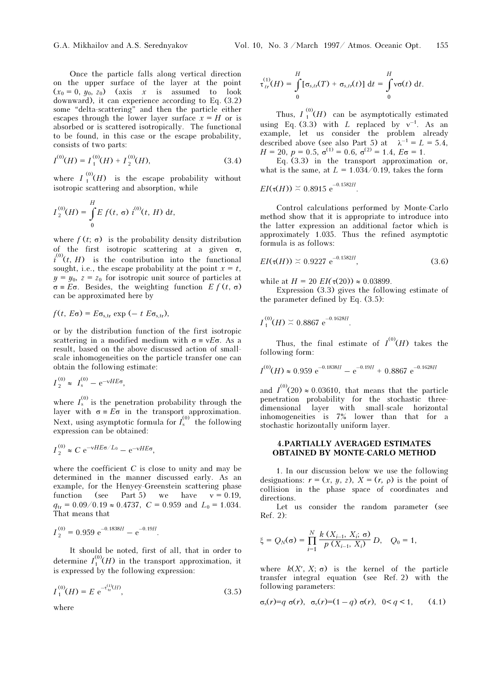Once the particle falls along vertical direction on the upper surface of the layer at the point  $(x_0 = 0, y_0, z_0)$  (axis x is assumed to look downward), it can experience according to Eq. (3.2) some "delta-scattering" and then the particle either escapes through the lower layer surface  $x = H$  or is absorbed or is scattered isotropically. The functional to be found, in this case or the escape probability, consists of two parts:

$$
I^{(0)}(H) = I_1^{(0)}(H) + I_2^{(0)}(H),
$$
\n(3.4)

where  $I_1^{(0)}(H)$  is the escape probability without isotropic scattering and absorption, while

$$
I_2^{(0)}(H) = \int_0^H E f(t, \sigma) i^{(0)}(t, H) dt,
$$

where  $f(t; \sigma)$  is the probability density distribution of the first isotropic scattering at a given  $\sigma$ ,  $i^{(0)}(t, H)$  is the contribution into the functional sought, i.e., the escape probability at the point  $x = t$ ,  $y = y_0$ ,  $z = z_0$  for isotropic unit source of particles at  $\sigma = E\sigma$ . Besides, the weighting function  $E f(t, \sigma)$ can be approximated here by

$$
f(t, E\sigma) = E\sigma_{\rm s,tr} \exp(-t E\sigma_{\rm s,tr}),
$$

or by the distribution function of the first isotropic scattering in a modified medium with  $\sigma = vE\sigma$ . As a result, based on the above discussed action of smallscale inhomogeneities on the particle transfer one can obtain the following estimate:

$$
I_2^{(0)} \approx I_s^{(0)} - e^{-\nu H E \sigma}
$$
,

where  $I_s^{(0)}$  is the penetration probability through the layer with  $\sigma = E \sigma$  in the transport approximation. Next, using asymptotic formula for  $I_s^{(0)}$  the following expression can be obtained:

$$
I_2^{(0)} \approx C e^{-\nu HE\sigma/L_0} - e^{-\nu HE\sigma},
$$

where the coefficient  $C$  is close to unity and may be determined in the manner discussed early. As an example, for the Henyey-Greenstein scattering phase function (see Part 5) we have  $v = 0.19$ ,  $q_{tr} = 0.09/0.19 \approx 0.4737$ ,  $C = 0.959$  and  $L_0 = 1.034$ . That means that

$$
I_2^{(0)} = 0.959 e^{-0.1838H} - e^{-0.19H}.
$$

It should be noted, first of all, that in order to determine  $I_1^{(0)}(H)$  in the transport approximation, it is expressed by the following expression:

$$
I_1^{(0)}(H) = E e^{-\tau_{tr}^{(1)}(H)},
$$
\n(3.5)

where

$$
\tau_{tr}^{(1)}(H) = \int_{0}^{H} [\sigma_{s,tr}(T) + \sigma_{s,tr}(t)] dt = \int_{0}^{H} v\sigma(t) dt.
$$

Thus,  $I_1^{(0)}(H)$  can be asymptotically estimated using Eq. (3.3) with L replaced by  $v^{-1}$ . As an example, let us consider the problem already described above (see also Part 5) at  $\lambda^{-1} = L = 5.4$ ,  $H = 20$ ,  $p = 0.5$ ,  $\sigma^{(1)} = 0.6$ ,  $\sigma^{(2)} = 1.4$ ,  $E\sigma = 1$ .

Eq. (3.3) in the transport approximation or, what is the same, at  $L = 1.034/0.19$ , takes the form

.

$$
EI(\tau(H)) \approx 0.8915 \; \mathrm{e}^{-0.1582H}
$$

Control calculations performed by Monte-Carlo method show that it is appropriate to introduce into the latter expression an additional factor which is approximately 1.035. Thus the refined asymptotic formula is as follows:

$$
EI(\tau(H)) \approx 0.9227 \text{ e}^{-0.1582H}, \qquad (3.6)
$$

while at  $H = 20 \, EI(\tau(20)) \approx 0.03899$ .

Expression (3.3) gives the following estimate of the parameter defined by Eq. (3.5):

$$
I_1^{(0)}(H) \stackrel{\sim}{\sim} 0.8867 \text{ e}^{-0.1628H}.
$$

Thus, the final estimate of  $I^{(0)}(H)$  takes the following form:

$$
I^{(0)}(H) \approx 0.959 e^{-0.1838H} - e^{-0.19H} + 0.8867 e^{-0.1628H}
$$

and  $I^{(0)}(20) \approx 0.03610$ , that means that the particle penetration probability for the stochastic threedimensional layer with small-scale horizontal inhomogeneities is 7% lower than that for a stochastic horizontally uniform layer.

### 4.PARTIALLY AVERAGED ESTIMATES OBTAINED BY MONTE-CARLO METHOD

1. In our discussion below we use the following designations:  $r = (x, y, z)$ ,  $X = (r, \rho)$  is the point of collision in the phase space of coordinates and directions.

Let us consider the random parameter (see Ref. 2):

$$
\xi = Q_N(\sigma) = \prod_{i=1}^N \frac{k(X_{i-1}, X_i; \sigma)}{p(X_{i-1}, X_i)} D, \quad Q_0 = 1,
$$

where  $k(X', X; \sigma)$  is the kernel of the particle transfer integral equation (see Ref. 2) with the following parameters:

$$
\sigma_s(r)=q \sigma(r), \quad \sigma_c(r)=(1-q) \sigma(r), \quad 0 < q < 1,
$$
 (4.1)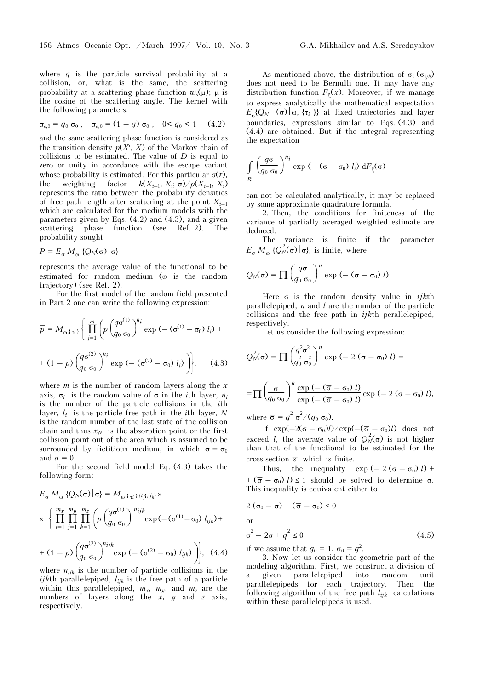where  $q$  is the particle survival probability at a collision, or, what is the same, the scattering probability at a scattering phase function  $w_s(\mu)$ ;  $\mu$  is the cosine of the scattering angle. The kernel with the following parameters:

$$
\sigma_{s,0} = q_0 \sigma_0 , \quad \sigma_{c,0} = (1 - q) \sigma_0 , \quad 0 < q_0 < 1 \quad (4.2)
$$

and the same scattering phase function is considered as the transition density  $p(X', X)$  of the Markov chain of collisions to be estimated. The value of  $D$  is equal to zero or unity in accordance with the escape variant whose probability is estimated. For this particular  $\sigma(r)$ , the weighting factor  $k(X_{i-1}, X_i; \sigma) / p(X_{i-1}, X_i)$ represents the ratio between the probability densities of free path length after scattering at the point  $X_{i-1}$ which are calculated for the medium models with the parameters given by Eqs. (4.2) and (4.3), and a given scattering phase function (see Ref. 2). The probability sought

$$
P = E_{\sigma} M_{\omega} \{ Q_N(\sigma) | \sigma \}
$$

represents the average value of the functional to be estimated for random medium (ω is the random trajectory) (see Ref. 2).

For the first model of the random field presented in Part 2 one can write the following expression:

$$
\overline{p} = M_{\omega, {\{\tau_i\}}}\left\{\prod_{j=1}^{m} \left(p\left(\frac{q\sigma^{(1)}}{q_0 \sigma_0}\right)^{n_i} \exp\left(-\left(\sigma^{(1)} - \sigma_0\right) l_i\right) + \right.\right.
$$

$$
+ (1-p)\left(\frac{q\sigma^{(2)}}{q_0 \sigma_0}\right)^{n_i} \exp\left(-\left(\sigma^{(2)} - \sigma_0\right) l_i\right)\left.\right\}, \quad (4.3)
$$

where  $m$  is the number of random layers along the  $x$ axis,  $\sigma_i$  is the random value of  $\sigma$  in the *i*th layer,  $n_i$ is the number of the particle collisions in the ith layer,  $l_i$  is the particle free path in the *i*th layer, N is the random number of the last state of the collision chain and thus  $x_N$  is the absorption point or the first collision point out of the area which is assumed to be surrounded by fictitious medium, in which  $\sigma = \sigma_0$ and  $q = 0$ .

For the second field model Eq. (4.3) takes the following form:

$$
E_{\sigma} M_{\omega} \{Q_N(\sigma) | \sigma\} = M_{\omega, \{\tau_i\}, \{t_j\}, \{l_k\}} \times
$$
  
 
$$
\times \left\{ \prod_{i=1}^{m_X} \prod_{j=1}^{m_y} \prod_{k=1}^{m_Z} \left( p \left( \frac{q \sigma^{(1)}}{q_0 \sigma_0} \right)^{n_{ijk}} \exp(-( \sigma^{(1)} - \sigma_0) l_{ijk}) +
$$
  
+ 
$$
(1-p) \left( \frac{q \sigma^{(2)}}{q_0 \sigma_0} \right)^{n_{ijk}} \exp(-( \sigma^{(2)} - \sigma_0) l_{ijk}) \right), \quad (4.4)
$$

where 
$$
n_{ijk}
$$
 is the number of particle collisions in the *ijk*th parallellepiped,  $l_{ijk}$  is the free path of a particle within this parallellepiped,  $m_x$ ,  $m_y$ , and  $m_z$  are the numbers of layers along the *x*, *y* and *z* axis, respectively.

As mentioned above, the distribution of  $\sigma_i$  ( $\sigma_{ijk}$ ) does not need to be Bernulli one. It may have any distribution function  $F_{\xi}(x)$ . Moreover, if we manage to express analytically the mathematical expectation  $E_{\sigma} \{Q_N \mid \sigma \}$  (σ)  $\sigma \{ \tau_i \}$  at fixed trajectories and layer boundaries, expressions similar to Eqs. (4.3) and (4.4) are obtained. But if the integral representing the expectation

$$
\int\limits_R \left(\frac{q\sigma}{q_0 \sigma_0}\right)^{n_i} \exp\left(-\left(\sigma-\sigma_0\right) l_i\right) \, \mathrm{d}F_{\xi}(\sigma)
$$

can not be calculated analytically, it may be replaced by some approximate quadrature formula.

2. Then, the conditions for finiteness of the variance of partially averaged weighted estimate are deduced.

The variance is finite if the parameter  $E_{\sigma} M_{\omega} \{Q_N^2(\sigma) | \sigma \}$ , is finite, where

$$
Q_N(\sigma) = \prod \left(\frac{q\sigma}{q_0 \sigma_0}\right)^n \exp\left(-\left(\sigma - \sigma_0\right)l\right).
$$

Here  $\sigma$  is the random density value in *ijkth* parallelepiped,  $n$  and  $l$  are the number of the particle collisions and the free path in ijkth perallelepiped, respectively.

Let us consider the following expression:

$$
Q_N^2(\sigma) = \prod \left(\frac{q^2 \sigma^2}{q_0^2 \sigma_0^2}\right)^n \exp(-2(\sigma - \sigma_0) l) =
$$
  
= 
$$
\prod \left(\frac{\overline{\sigma}}{q_0 \sigma_0}\right)^n \frac{\exp(-(\overline{\sigma} - \sigma_0) l)}{\exp(-(\overline{\sigma} - \sigma_0) l)} \exp(-2(\sigma - \sigma_0) l),
$$

where  $\overline{\sigma} = q^2 \sigma^2/(q_0 \sigma_0)$ .

If  $\exp(-2(\sigma - \sigma_0)l)/\exp(-(\overline{\sigma} - \sigma_0)l)$  does not exceed *l*, the average value of  $Q_N^2(\sigma)$  is not higher than that of the functional to be estimated for the cross section  $\bar{s}$  which is finite.

Thus, the inequality  $\exp(-2(\sigma - \sigma_0) l)$  + +  $(\bar{\sigma} - \sigma_0)$  l)  $\leq 1$  should be solved to determine  $\sigma$ . This inequality is equivalent either to

$$
2(\sigma_0-\sigma)+(\overline{\sigma}-\sigma_0)\leq 0
$$

or

$$
\sigma^2 - 2\sigma + q^2 \le 0 \tag{4.5}
$$

if we assume that  $q_0 = 1$ ,  $\sigma_0 = q^2$ .

3. Now let us consider the geometric part of the modeling algorithm. First, we construct a division of a given parallelepiped into random unit parallelepipeds for each trajectory. Then the following algorithm of the free path  $l_{ijk}$  calculations within these parallelepipeds is used.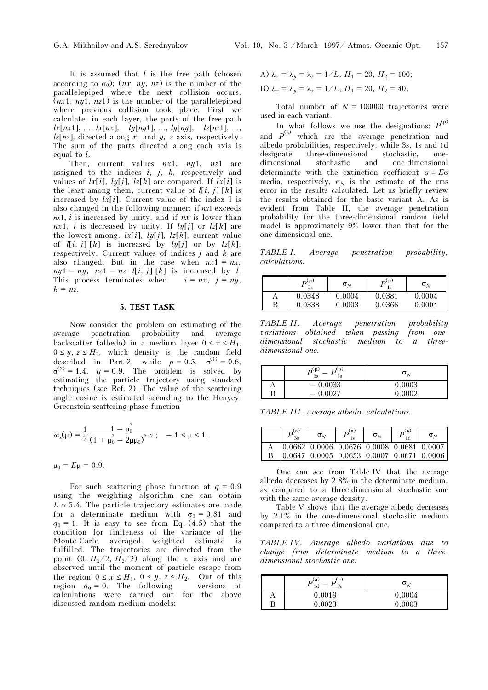It is assumed that  $l$  is the free path (chosen according to  $\sigma_0$ ); (*nx*, *ny*, *nz*) is the number of the parallelepiped where the next collision occurs,  $(nx1, ny1, nz1)$  is the number of the parallelepiped where previous collision took place. First we calculate, in each layer, the parts of the free path  $lx[nx1], ..., lx[nx], 1y[ny1], ..., ly[ny]; 1z[nz1], ...,$  $\ell z[nz]$ , directed along x, and y, z axis, respectively. The sum of the parts directed along each axis is equal to l.

Then, current values  $nx1$ ,  $ny1$ ,  $nz1$  are assigned to the indices  $i, j, k$ , respectively and values of  $lx[i]$ ,  $ly[i]$ ,  $lz[k]$  are compared. If  $lx[i]$  is the least among them, current value of  $\ell[i, j]$  [k] is increased by  $lx[i]$ . Current value of the index I is also changed in the following manner: if nx1 exceeds  $nx1$ , *i* is increased by unity, and if  $nx$  is lower than nx1, i is decreased by unity. If  $ly[j]$  or  $lz[k]$  are the lowest among,  $lx[i]$ ,  $ly[j]$ ,  $lz[k]$ , current value of  $l[i, j] [k]$  is increased by  $ly[j]$  or by  $lz[k]$ , respectively. Current values of indices  $j$  and  $k$  are also changed. But in the case when  $nx1 = nx$ ,  $ny1 = ny$ ,  $nz1 = nz$   $l[i, j] [k]$  is increased by *l*. This process terminates when  $i = nx$ ,  $j = ny$ ,  $k = nz$ .

#### 5. TEST TASK

Now consider the problem on estimating of the average penetration probability and average backscatter (albedo) in a medium layer  $0 \le x \le H_1$ ,  $0 \leq y, z \leq H_2$ , which density is the random field described in Part 2, while  $p = 0.5$ ,  $\sigma^{(1)} = 0.6$ ,  $\sigma^{(2)} = 1.4$ ,  $q = 0.9$ . The problem is solved by estimating the particle trajectory using standard techniques (see Ref. 2). The value of the scattering angle cosine is estimated according to the Henyey-Greenstein scattering phase function

$$
w_{s}(\mu) = \frac{1}{2} \frac{1 - \mu_0^2}{\left(1 + \mu_0^2 - 2\mu\mu_0\right)^{3/2}}; \quad -1 \leq \mu \leq 1,
$$

 $\mu_0 = E \mu = 0.9$ .

For such scattering phase function at  $q = 0.9$ using the weighting algorithm one can obtain  $L \approx 5.4$ . The particle trajectory estimates are made for a determinate medium with  $\sigma_0 = 0.81$  and  $q_0 = 1$ . It is easy to see from Eq. (4.5) that the condition for finiteness of the variance of the Monte-Carlo averaged weighted estimate is fulfilled. The trajectories are directed from the point  $(0, H<sub>2</sub>/2, H<sub>2</sub>/2)$  along the x axis and are observed until the moment of particle escape from the region  $0 \le x \le H_1$ ,  $0 \le y$ ,  $z \le H_2$ . Out of this region  $q_0 = 0$ . The following versions of calculations were carried out for the above discussed random medium models:

A) 
$$
\lambda_x = \lambda_y = \lambda_z = 1/L
$$
,  $H_1 = 20$ ,  $H_2 = 100$ ;  
B)  $\lambda_x = \lambda_y = \lambda_z = 1/L$ ,  $H_1 = 20$ ,  $H_2 = 40$ .

Total number of  $N = 100000$  trajectories were used in each variant.

In what follows we use the designations:  $P^{(p)}$ and  $P^{(a)}$  which are the average penetration and albedo probabilities, respectively, while 3s, 1s and 1d designate three-dimensional stochastic, onedimensional stochastic and one-dimensional determinate with the extinction coefficient  $\sigma = E\sigma$ media, respectively,  $\sigma_N$  is the estimate of the rms error in the results calculated. Let us briefly review the results obtained for the basic variant A. As is evident from Table II, the average penetration probability for the three-dimensional random field model is approximately 9% lower than that for the one-dimensional one.

TABLE I. Average penetration probability, calculations.

|   | (p)<br>3s | $\sigma_{\scriptscriptstyle{N}}$ | $\mathbf{o}^{(p)}$ | $\sigma_{\rm M}$ |
|---|-----------|----------------------------------|--------------------|------------------|
| A | 0.0348    | 0.0004                           | 0.0381             | 0.0004           |
| Β | 0.0338    | 0.0003                           | 0.0366             | 0.0004           |

TABLE II. Average penetration probability variations obtained when passing from onedimensional stochastic medium to a threedimensional one.

|   | (D.<br>D.<br>1s             | $\sigma_N$ |
|---|-----------------------------|------------|
|   | $-0.0033$                   | 0.0003     |
| В | 0.0027<br>$\qquad \qquad -$ | 0.0002     |

TABLE III. Average albedo, calculations.

| $\mathbf{r}^{(a)}$<br>2c                                                            | $\sigma_{\rm\scriptscriptstyle M}$ | $\boldsymbol{D}^{(\mathrm{a})}$ | $\sigma_{\scriptscriptstyle{M}}$ | $P_{\scriptscriptstyle{1d}}^{(\rm a)}$ | $\sigma_{\scriptscriptstyle{M}}$                                                    |
|-------------------------------------------------------------------------------------|------------------------------------|---------------------------------|----------------------------------|----------------------------------------|-------------------------------------------------------------------------------------|
| $\begin{bmatrix} 0.0662 & 0.0006 & 0.0676 & 0.0008 & 0.0681 & 0.0007 \end{bmatrix}$ |                                    |                                 |                                  |                                        |                                                                                     |
|                                                                                     |                                    |                                 |                                  |                                        | $\begin{bmatrix} 0.0647 & 0.0005 & 0.0653 & 0.0007 & 0.0671 & 0.0006 \end{bmatrix}$ |

One can see from Table IV that the average albedo decreases by 2.8% in the determinate medium, as compared to a three-dimensional stochastic one with the same average density.

Table V shows that the average albedo decreases by 2.1% in the one-dimensional stochastic medium compared to a three-dimensional one.

TABLE IV. Average albedo variations due to change from determinate medium to a threedimensional stochastic one.

|   | $\mathbf{a}$<br>(a)<br>3s | $\sigma_N$ |
|---|---------------------------|------------|
| л | 0.0019                    | 0.0004     |
| В | 0.0023                    | 0.0003     |